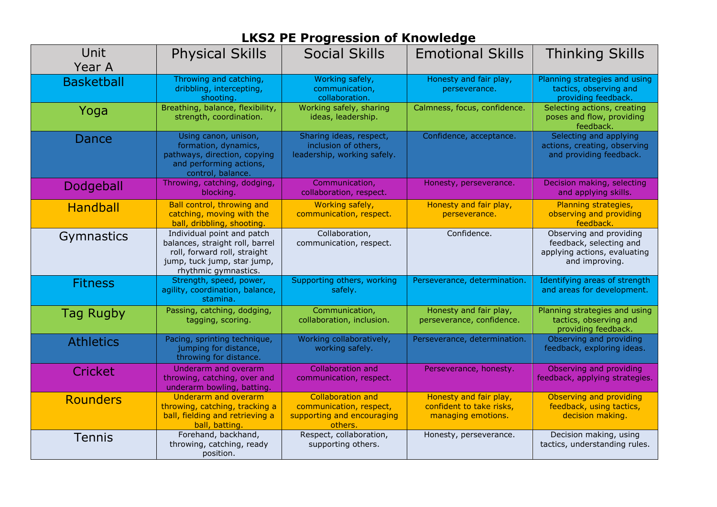| <b>Unit</b><br>Year A | <b>Physical Skills</b>                                                                                                                               | <b>Social Skills</b>                                                                         | <b>Emotional Skills</b>                                                  | <b>Thinking Skills</b>                                                                               |
|-----------------------|------------------------------------------------------------------------------------------------------------------------------------------------------|----------------------------------------------------------------------------------------------|--------------------------------------------------------------------------|------------------------------------------------------------------------------------------------------|
| <b>Basketball</b>     | Throwing and catching,<br>dribbling, intercepting,<br>shooting.                                                                                      | Working safely,<br>communication,<br>collaboration.                                          | Honesty and fair play,<br>perseverance.                                  | Planning strategies and using<br>tactics, observing and<br>providing feedback.                       |
| Yoga                  | Breathing, balance, flexibility,<br>strength, coordination.                                                                                          | Working safely, sharing<br>ideas, leadership.                                                | Calmness, focus, confidence.                                             | Selecting actions, creating<br>poses and flow, providing<br>feedback.                                |
| Dance                 | Using canon, unison,<br>formation, dynamics,<br>pathways, direction, copying<br>and performing actions,<br>control, balance.                         | Sharing ideas, respect,<br>inclusion of others,<br>leadership, working safely.               | Confidence, acceptance.                                                  | Selecting and applying<br>actions, creating, observing<br>and providing feedback.                    |
| Dodgeball             | Throwing, catching, dodging,<br>blocking.                                                                                                            | Communication,<br>collaboration, respect.                                                    | Honesty, perseverance.                                                   | Decision making, selecting<br>and applying skills.                                                   |
| <b>Handball</b>       | Ball control, throwing and<br>catching, moving with the<br>ball, dribbling, shooting.                                                                | Working safely,<br>communication, respect.                                                   | Honesty and fair play,<br>perseverance.                                  | Planning strategies,<br>observing and providing<br>feedback.                                         |
| <b>Gymnastics</b>     | Individual point and patch<br>balances, straight roll, barrel<br>roll, forward roll, straight<br>jump, tuck jump, star jump,<br>rhythmic gymnastics. | Collaboration,<br>communication, respect.                                                    | Confidence.                                                              | Observing and providing<br>feedback, selecting and<br>applying actions, evaluating<br>and improving. |
| <b>Fitness</b>        | Strength, speed, power,<br>agility, coordination, balance,<br>stamina.                                                                               | Supporting others, working<br>safely.                                                        | Perseverance, determination.                                             | Identifying areas of strength<br>and areas for development.                                          |
| Tag Rugby             | Passing, catching, dodging,<br>tagging, scoring.                                                                                                     | Communication,<br>collaboration, inclusion.                                                  | Honesty and fair play,<br>perseverance, confidence.                      | Planning strategies and using<br>tactics, observing and<br>providing feedback.                       |
| <b>Athletics</b>      | Pacing, sprinting technique,<br>jumping for distance,<br>throwing for distance.                                                                      | Working collaboratively,<br>working safely.                                                  | Perseverance, determination.                                             | Observing and providing<br>feedback, exploring ideas.                                                |
| Cricket               | Underarm and overarm<br>throwing, catching, over and<br>underarm bowling, batting.                                                                   | <b>Collaboration and</b><br>communication, respect.                                          | Perseverance, honesty.                                                   | Observing and providing<br>feedback, applying strategies.                                            |
| <b>Rounders</b>       | Underarm and overarm<br>throwing, catching, tracking a<br>ball, fielding and retrieving a<br>ball, batting.                                          | <b>Collaboration and</b><br>communication, respect,<br>supporting and encouraging<br>others. | Honesty and fair play,<br>confident to take risks,<br>managing emotions. | Observing and providing<br>feedback, using tactics,<br>decision making.                              |
| <b>Tennis</b>         | Forehand, backhand,<br>throwing, catching, ready<br>position.                                                                                        | Respect, collaboration,<br>supporting others.                                                | Honesty, perseverance.                                                   | Decision making, using<br>tactics, understanding rules.                                              |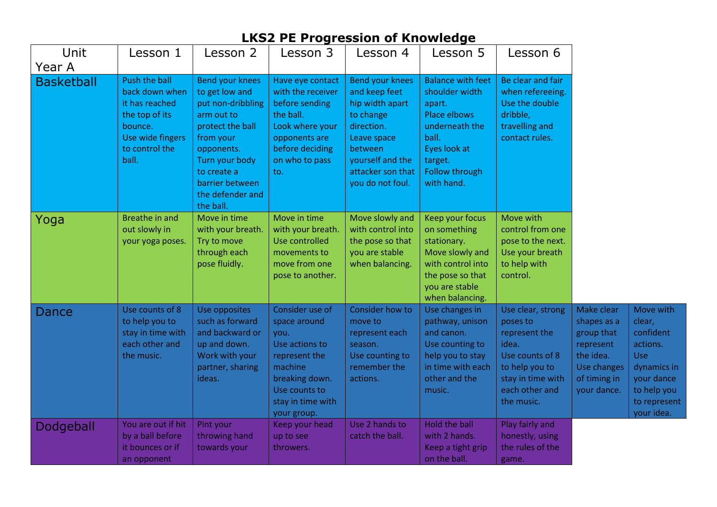| Unit              | Lesson 1                                                                                                                      | Lesson 2                                                                                                                                                                                                 | Lesson 3                                                                                                                                                     | Lesson 4                                                                                                                                                              | Lesson 5                                                                                                                                                   | Lesson 6                                                                                                                                          |                                                                                                                 |                                                                                                                               |
|-------------------|-------------------------------------------------------------------------------------------------------------------------------|----------------------------------------------------------------------------------------------------------------------------------------------------------------------------------------------------------|--------------------------------------------------------------------------------------------------------------------------------------------------------------|-----------------------------------------------------------------------------------------------------------------------------------------------------------------------|------------------------------------------------------------------------------------------------------------------------------------------------------------|---------------------------------------------------------------------------------------------------------------------------------------------------|-----------------------------------------------------------------------------------------------------------------|-------------------------------------------------------------------------------------------------------------------------------|
| Year A            |                                                                                                                               |                                                                                                                                                                                                          |                                                                                                                                                              |                                                                                                                                                                       |                                                                                                                                                            |                                                                                                                                                   |                                                                                                                 |                                                                                                                               |
| <b>Basketball</b> | Push the ball<br>back down when<br>it has reached<br>the top of its<br>bounce.<br>Use wide fingers<br>to control the<br>ball. | Bend your knees<br>to get low and<br>put non-dribbling<br>arm out to<br>protect the ball<br>from your<br>opponents.<br>Turn your body<br>to create a<br>barrier between<br>the defender and<br>the ball. | Have eye contact<br>with the receiver<br>before sending<br>the ball.<br>Look where your<br>opponents are<br>before deciding<br>on who to pass<br>to.         | Bend your knees<br>and keep feet<br>hip width apart<br>to change<br>direction.<br>Leave space<br>between<br>yourself and the<br>attacker son that<br>you do not foul. | <b>Balance with feet</b><br>shoulder width<br>apart.<br>Place elbows<br>underneath the<br>ball.<br>Eyes look at<br>target.<br>Follow through<br>with hand. | Be clear and fair<br>when refereeing.<br>Use the double<br>dribble,<br>travelling and<br>contact rules.                                           |                                                                                                                 |                                                                                                                               |
| Yoga              | Breathe in and<br>out slowly in<br>your yoga poses.                                                                           | Move in time<br>with your breath.<br>Try to move<br>through each<br>pose fluidly.                                                                                                                        | Move in time<br>with your breath.<br>Use controlled<br>movements to<br>move from one<br>pose to another.                                                     | Move slowly and<br>with control into<br>the pose so that<br>you are stable<br>when balancing.                                                                         | Keep your focus<br>on something<br>stationary.<br>Move slowly and<br>with control into<br>the pose so that<br>you are stable<br>when balancing.            | Move with<br>control from one<br>pose to the next.<br>Use your breath<br>to help with<br>control.                                                 |                                                                                                                 |                                                                                                                               |
| Dance             | Use counts of 8<br>to help you to<br>stay in time with<br>each other and<br>the music.                                        | Use opposites<br>such as forward<br>and backward or<br>up and down.<br>Work with your<br>partner, sharing<br>ideas.                                                                                      | Consider use of<br>space around<br>you.<br>Use actions to<br>represent the<br>machine<br>breaking down.<br>Use counts to<br>stay in time with<br>your group. | Consider how to<br>move to<br>represent each<br>season.<br>Use counting to<br>remember the<br>actions.                                                                | Use changes in<br>pathway, unison<br>and canon.<br>Use counting to<br>help you to stay<br>in time with each<br>other and the<br>music.                     | Use clear, strong<br>poses to<br>represent the<br>idea.<br>Use counts of 8<br>to help you to<br>stay in time with<br>each other and<br>the music. | Make clear<br>shapes as a<br>group that<br>represent<br>the idea.<br>Use changes<br>of timing in<br>your dance. | Move with<br>clear,<br>confident<br>actions.<br>Use<br>dynamics in<br>your dance<br>to help you<br>to represent<br>your idea. |
| Dodgeball         | You are out if hit<br>by a ball before<br>it bounces or if<br>an opponent                                                     | Pint your<br>throwing hand<br>towards your                                                                                                                                                               | Keep your head<br>up to see<br>throwers.                                                                                                                     | Use 2 hands to<br>catch the ball.                                                                                                                                     | Hold the ball<br>with 2 hands.<br>Keep a tight grip<br>on the ball.                                                                                        | Play fairly and<br>honestly, using<br>the rules of the<br>game.                                                                                   |                                                                                                                 |                                                                                                                               |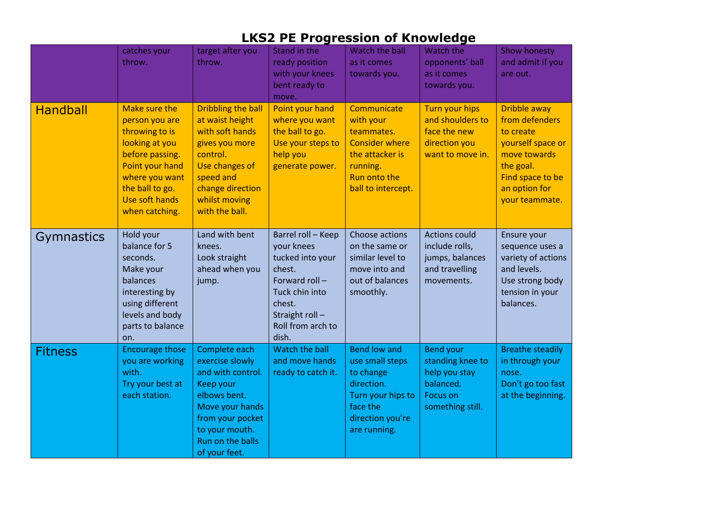|                   | catches your<br>throw.                                                                                                                                                             | target after you<br>throw.                                                                                                                                                       | Stand in the<br>ready position<br>with your knees<br>bent ready to<br>move.                                                                                 | Watch the ball<br>as it comes<br>towards you.                                                                                          | Watch the<br>opponents' ball<br>as it comes<br>towards you.                                        | Show honesty<br>and admit if you<br>are out.                                                                                                                |
|-------------------|------------------------------------------------------------------------------------------------------------------------------------------------------------------------------------|----------------------------------------------------------------------------------------------------------------------------------------------------------------------------------|-------------------------------------------------------------------------------------------------------------------------------------------------------------|----------------------------------------------------------------------------------------------------------------------------------------|----------------------------------------------------------------------------------------------------|-------------------------------------------------------------------------------------------------------------------------------------------------------------|
| <b>Handball</b>   | Make sure the<br>person you are<br>throwing to is<br>looking at you<br>before passing.<br>Point your hand<br>where you want<br>the ball to go.<br>Use soft hands<br>when catching. | Dribbling the ball<br>at waist height<br>with soft hands<br>gives you more<br>control.<br>Use changes of<br>speed and<br>change direction<br>whilst moving<br>with the ball.     | Point your hand<br>where you want<br>the ball to go.<br>Use your steps to<br>help you<br>generate power.                                                    | Communicate<br>with your<br>teammates.<br><b>Consider where</b><br>the attacker is<br>running.<br>Run onto the<br>ball to intercept.   | <b>Turn your hips</b><br>and shoulders to<br>face the new<br>direction you<br>want to move in.     | <b>Dribble away</b><br>from defenders<br>to create<br>yourself space or<br>move towards<br>the goal.<br>Find space to be<br>an option for<br>your teammate. |
| <b>Gymnastics</b> | Hold your<br>balance for 5<br>seconds.<br>Make your<br>balances<br>interesting by<br>using different<br>levels and body<br>parts to balance<br>on.                                 | Land with bent<br>knees.<br>Look straight<br>ahead when you<br>jump.                                                                                                             | Barrel roll - Keep<br>your knees<br>tucked into your<br>chest.<br>Forward roll-<br>Tuck chin into<br>chest.<br>Straight roll-<br>Roll from arch to<br>dish. | Choose actions<br>on the same or<br>similar level to<br>move into and<br>out of balances<br>smoothly.                                  | <b>Actions could</b><br>include rolls,<br>jumps, balances<br>and travelling<br>movements.          | Ensure your<br>sequence uses a<br>variety of actions<br>and levels.<br>Use strong body<br>tension in your<br>balances.                                      |
| <b>Fitness</b>    | <b>Encourage those</b><br>you are working<br>with.<br>Try your best at<br>each station.                                                                                            | Complete each<br>exercise slowly<br>and with control.<br>Keep your<br>elbows bent.<br>Move your hands<br>from your pocket<br>to your mouth.<br>Run on the balls<br>of your feet. | Watch the ball<br>and move hands<br>ready to catch it.                                                                                                      | <b>Bend low and</b><br>use small steps<br>to change<br>direction.<br>Turn your hips to<br>face the<br>direction you're<br>are running. | Bend your<br>standing knee to<br>help you stay<br>balanced.<br><b>Focus on</b><br>something still. | <b>Breathe steadily</b><br>in through your<br>nose.<br>Don't go too fast<br>at the beginning.                                                               |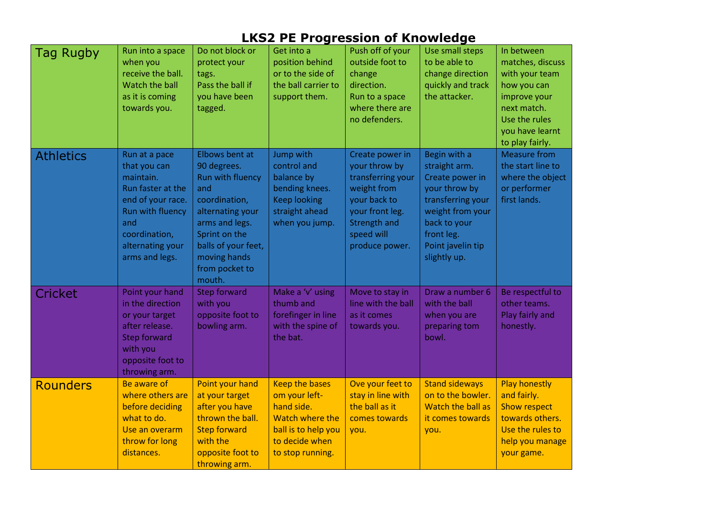| <b>Tag Rugby</b> | Run into a space<br>when you<br>receive the ball.<br>Watch the ball<br>as it is coming<br>towards you.                                                                 | Do not block or<br>protect your<br>tags.<br>Pass the ball if<br>you have been<br>tagged.                                                                                                            | Get into a<br>position behind<br>or to the side of<br>the ball carrier to<br>support them.                                           | Push off of your<br>outside foot to<br>change<br>direction.<br>Run to a space<br>where there are<br>no defenders.                                              | Use small steps<br>to be able to<br>change direction<br>quickly and track<br>the attacker.                                                                                    | In between<br>matches, discuss<br>with your team<br>how you can<br>improve your<br>next match.<br>Use the rules<br>you have learnt<br>to play fairly. |
|------------------|------------------------------------------------------------------------------------------------------------------------------------------------------------------------|-----------------------------------------------------------------------------------------------------------------------------------------------------------------------------------------------------|--------------------------------------------------------------------------------------------------------------------------------------|----------------------------------------------------------------------------------------------------------------------------------------------------------------|-------------------------------------------------------------------------------------------------------------------------------------------------------------------------------|-------------------------------------------------------------------------------------------------------------------------------------------------------|
| <b>Athletics</b> | Run at a pace<br>that you can<br>maintain.<br>Run faster at the<br>end of your race.<br>Run with fluency<br>and<br>coordination,<br>alternating your<br>arms and legs. | Elbows bent at<br>90 degrees.<br>Run with fluency<br>and<br>coordination,<br>alternating your<br>arms and legs.<br>Sprint on the<br>balls of your feet,<br>moving hands<br>from pocket to<br>mouth. | Jump with<br>control and<br>balance by<br>bending knees.<br><b>Keep looking</b><br>straight ahead<br>when you jump.                  | Create power in<br>your throw by<br>transferring your<br>weight from<br>your back to<br>your front leg.<br><b>Strength and</b><br>speed will<br>produce power. | Begin with a<br>straight arm.<br>Create power in<br>your throw by<br>transferring your<br>weight from your<br>back to your<br>front leg.<br>Point javelin tip<br>slightly up. | <b>Measure from</b><br>the start line to<br>where the object<br>or performer<br>first lands.                                                          |
| <b>Cricket</b>   | Point your hand<br>in the direction<br>or your target<br>after release.<br><b>Step forward</b><br>with you<br>opposite foot to<br>throwing arm.                        | <b>Step forward</b><br>with you<br>opposite foot to<br>bowling arm.                                                                                                                                 | Make a 'v' using<br>thumb and<br>forefinger in line<br>with the spine of<br>the bat.                                                 | Move to stay in<br>line with the ball<br>as it comes<br>towards you.                                                                                           | Draw a number 6<br>with the ball<br>when you are<br>preparing tom<br>bowl.                                                                                                    | Be respectful to<br>other teams.<br>Play fairly and<br>honestly.                                                                                      |
| <b>Rounders</b>  | Be aware of<br>where others are<br>before deciding<br>what to do.<br>Use an overarm<br>throw for long<br>distances.                                                    | Point your hand<br>at your target<br>after you have<br>thrown the ball.<br><b>Step forward</b><br>with the<br>opposite foot to<br>throwing arm.                                                     | <b>Keep the bases</b><br>om your left-<br>hand side.<br>Watch where the<br>ball is to help you<br>to decide when<br>to stop running. | Ove your feet to<br>stay in line with<br>the ball as it<br>comes towards<br>you.                                                                               | <b>Stand sideways</b><br>on to the bowler.<br>Watch the ball as<br>it comes towards<br>you.                                                                                   | <b>Play honestly</b><br>and fairly.<br><b>Show respect</b><br>towards others.<br>Use the rules to<br>help you manage<br>your game.                    |